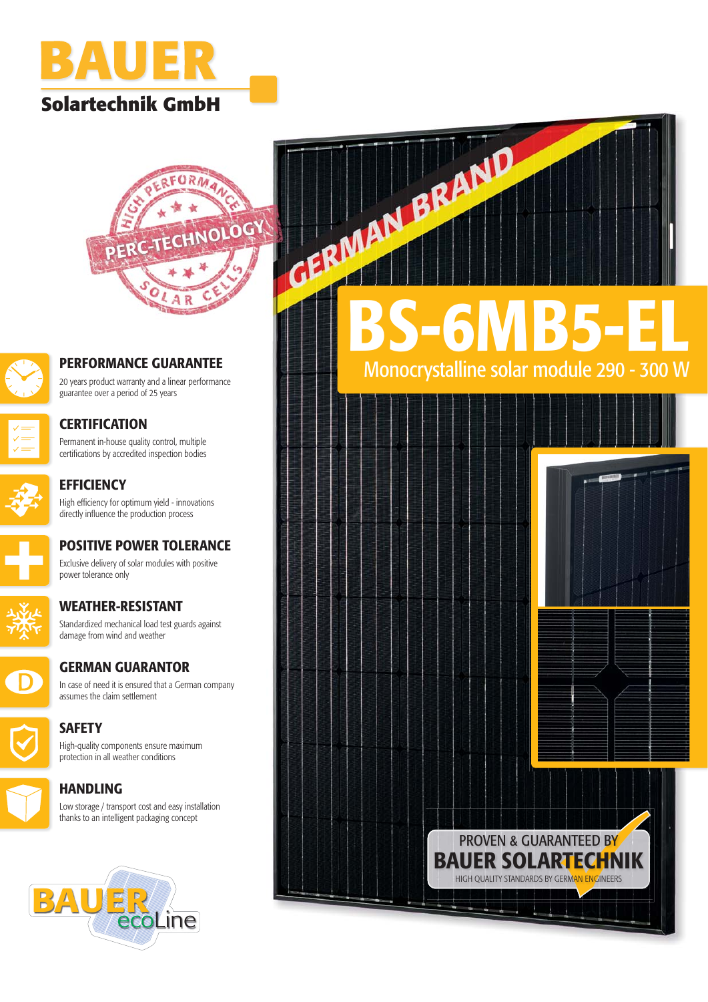





### **PERFORMANCE GUARANTEE**

20 years product warranty and a linear performance guarantee over a period of 25 years



### **CERTIFICATION** Permanent in-house quality control, multiple certifications by accredited inspection bodies

**EFFICIENCY** High efficiency for optimum yield - innovations directly influence the production process



### **POSITIVE POWER TOLERANCE** Exclusive delivery of solar modules with positive power tolerance only

Standardized mechanical load test guards against



**WEATHER-RESISTANT**



# **GERMAN GUARANTOR**

In case of need it is ensured that a German company assumes the claim settlement



High-quality components ensure maximum protection in all weather conditions

# **HANDLING**

Low storage / transport cost and easy installation thanks to an intelligent packaging concept



**BS-6MB5-EL**

Monocrystalline solar module 290 - 300 W